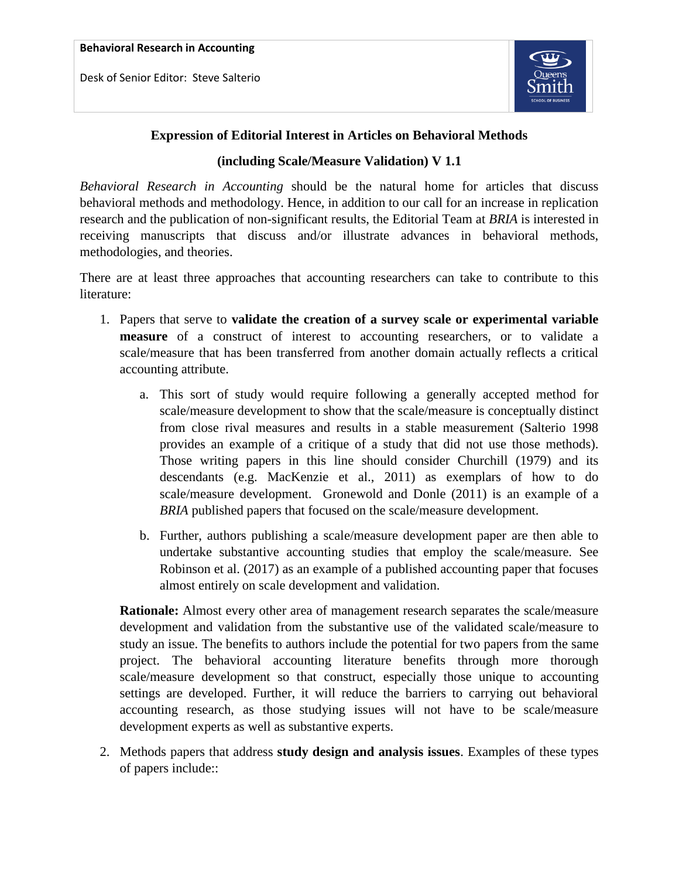Desk of Senior Editor: Steve Salterio



## **Expression of Editorial Interest in Articles on Behavioral Methods**

## **(including Scale/Measure Validation) V 1.1**

*Behavioral Research in Accounting* should be the natural home for articles that discuss behavioral methods and methodology. Hence, in addition to our call for an increase in replication research and the publication of non-significant results, the Editorial Team at *BRIA* is interested in receiving manuscripts that discuss and/or illustrate advances in behavioral methods, methodologies, and theories.

There are at least three approaches that accounting researchers can take to contribute to this literature:

- 1. Papers that serve to **validate the creation of a survey scale or experimental variable measure** of a construct of interest to accounting researchers, or to validate a scale/measure that has been transferred from another domain actually reflects a critical accounting attribute.
	- a. This sort of study would require following a generally accepted method for scale/measure development to show that the scale/measure is conceptually distinct from close rival measures and results in a stable measurement (Salterio 1998 provides an example of a critique of a study that did not use those methods). Those writing papers in this line should consider Churchill (1979) and its descendants (e.g. MacKenzie et al., 2011) as exemplars of how to do scale/measure development. Gronewold and Donle (2011) is an example of a *BRIA* published papers that focused on the scale/measure development.
	- b. Further, authors publishing a scale/measure development paper are then able to undertake substantive accounting studies that employ the scale/measure. See Robinson et al. (2017) as an example of a published accounting paper that focuses almost entirely on scale development and validation.

**Rationale:** Almost every other area of management research separates the scale/measure development and validation from the substantive use of the validated scale/measure to study an issue. The benefits to authors include the potential for two papers from the same project. The behavioral accounting literature benefits through more thorough scale/measure development so that construct, especially those unique to accounting settings are developed. Further, it will reduce the barriers to carrying out behavioral accounting research, as those studying issues will not have to be scale/measure development experts as well as substantive experts.

2. Methods papers that address **study design and analysis issues**. Examples of these types of papers include::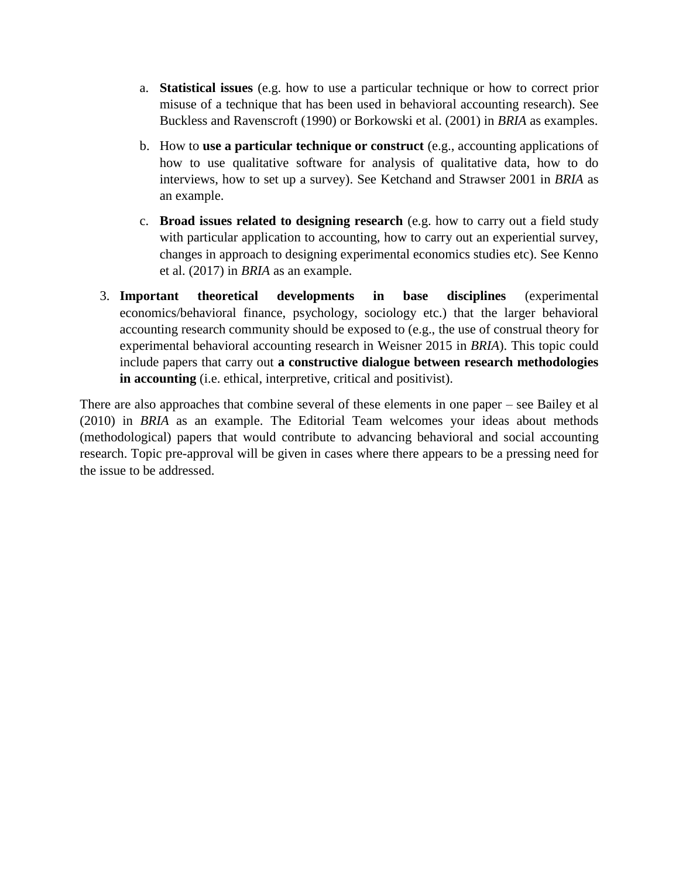- a. **Statistical issues** (e.g. how to use a particular technique or how to correct prior misuse of a technique that has been used in behavioral accounting research). See Buckless and Ravenscroft (1990) or Borkowski et al. (2001) in *BRIA* as examples.
- b. How to **use a particular technique or construct** (e.g., accounting applications of how to use qualitative software for analysis of qualitative data, how to do interviews, how to set up a survey). See Ketchand and Strawser 2001 in *BRIA* as an example.
- c. **Broad issues related to designing research** (e.g. how to carry out a field study with particular application to accounting, how to carry out an experiential survey, changes in approach to designing experimental economics studies etc). See Kenno et al. (2017) in *BRIA* as an example.
- 3. **Important theoretical developments in base disciplines** (experimental economics/behavioral finance, psychology, sociology etc.) that the larger behavioral accounting research community should be exposed to (e.g., the use of construal theory for experimental behavioral accounting research in Weisner 2015 in *BRIA*). This topic could include papers that carry out **a constructive dialogue between research methodologies in accounting** (i.e. ethical, interpretive, critical and positivist).

There are also approaches that combine several of these elements in one paper – see Bailey et al (2010) in *BRIA* as an example. The Editorial Team welcomes your ideas about methods (methodological) papers that would contribute to advancing behavioral and social accounting research. Topic pre-approval will be given in cases where there appears to be a pressing need for the issue to be addressed.